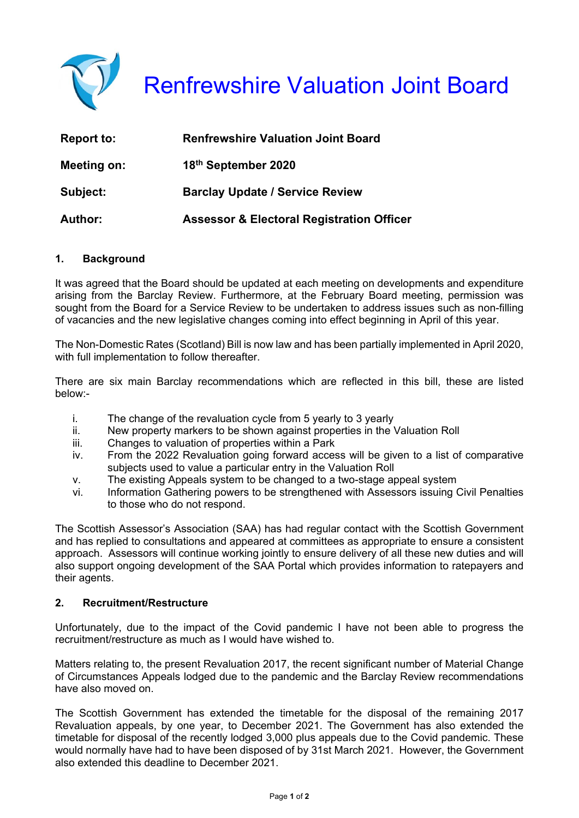

| <b>Report to:</b> | <b>Renfrewshire Valuation Joint Board</b>            |
|-------------------|------------------------------------------------------|
| Meeting on:       | 18th September 2020                                  |
| Subject:          | <b>Barclay Update / Service Review</b>               |
| <b>Author:</b>    | <b>Assessor &amp; Electoral Registration Officer</b> |

# **1. Background**

It was agreed that the Board should be updated at each meeting on developments and expenditure arising from the Barclay Review. Furthermore, at the February Board meeting, permission was sought from the Board for a Service Review to be undertaken to address issues such as non-filling of vacancies and the new legislative changes coming into effect beginning in April of this year.

The Non-Domestic Rates (Scotland) Bill is now law and has been partially implemented in April 2020, with full implementation to follow thereafter.

There are six main Barclay recommendations which are reflected in this bill, these are listed below:-

- i. The change of the revaluation cycle from 5 yearly to 3 yearly
- ii. New property markers to be shown against properties in the Valuation Roll
- iii. Changes to valuation of properties within a Park
- iv. From the 2022 Revaluation going forward access will be given to a list of comparative subjects used to value a particular entry in the Valuation Roll
- v. The existing Appeals system to be changed to a two-stage appeal system
- vi. Information Gathering powers to be strengthened with Assessors issuing Civil Penalties to those who do not respond.

The Scottish Assessor's Association (SAA) has had regular contact with the Scottish Government and has replied to consultations and appeared at committees as appropriate to ensure a consistent approach. Assessors will continue working jointly to ensure delivery of all these new duties and will also support ongoing development of the SAA Portal which provides information to ratepayers and their agents.

### **2. Recruitment/Restructure**

Unfortunately, due to the impact of the Covid pandemic I have not been able to progress the recruitment/restructure as much as I would have wished to.

Matters relating to, the present Revaluation 2017, the recent significant number of Material Change of Circumstances Appeals lodged due to the pandemic and the Barclay Review recommendations have also moved on.

The Scottish Government has extended the timetable for the disposal of the remaining 2017 Revaluation appeals, by one year, to December 2021. The Government has also extended the timetable for disposal of the recently lodged 3,000 plus appeals due to the Covid pandemic. These would normally have had to have been disposed of by 31st March 2021. However, the Government also extended this deadline to December 2021.